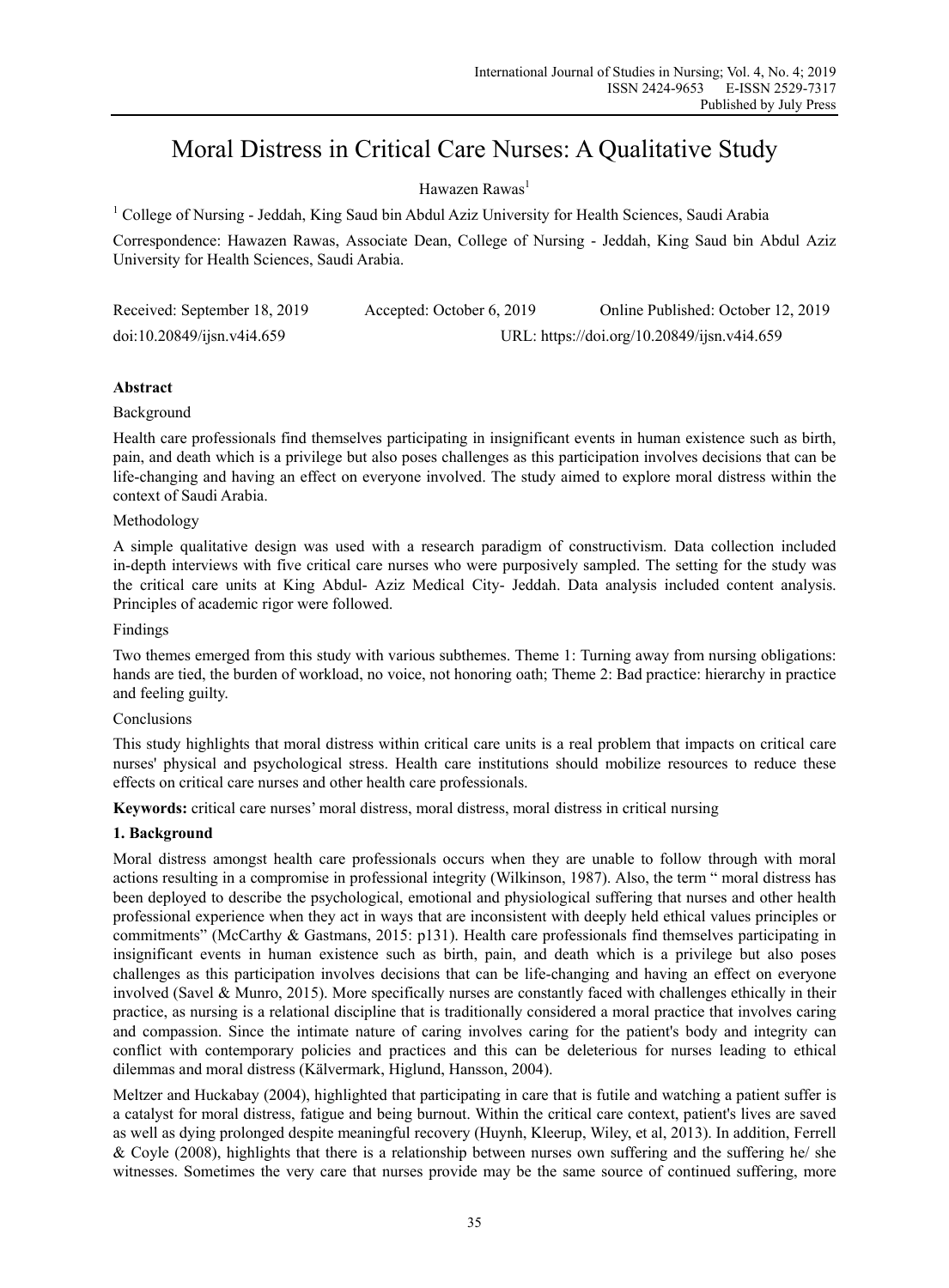# Moral Distress in Critical Care Nurses: A Qualitative Study

# Hawazen Rawas<sup>1</sup>

<sup>1</sup> College of Nursing - Jeddah, King Saud bin Abdul Aziz University for Health Sciences, Saudi Arabia

Correspondence: Hawazen Rawas, Associate Dean, College of Nursing - Jeddah, King Saud bin Abdul Aziz University for Health Sciences, Saudi Arabia.

| Received: September 18, 2019           | Accepted: October 6, 2019                   | Online Published: October 12, 2019 |
|----------------------------------------|---------------------------------------------|------------------------------------|
| $doi:10.20849/j \sin \frac{14.659}{3}$ | URL: https://doi.org/10.20849/ijsn.v4i4.659 |                                    |

# **Abstract**

## Background

Health care professionals find themselves participating in insignificant events in human existence such as birth, pain, and death which is a privilege but also poses challenges as this participation involves decisions that can be life-changing and having an effect on everyone involved. The study aimed to explore moral distress within the context of Saudi Arabia.

## Methodology

A simple qualitative design was used with a research paradigm of constructivism. Data collection included in-depth interviews with five critical care nurses who were purposively sampled. The setting for the study was the critical care units at King Abdul- Aziz Medical City- Jeddah. Data analysis included content analysis. Principles of academic rigor were followed.

## Findings

Two themes emerged from this study with various subthemes. Theme 1: Turning away from nursing obligations: hands are tied, the burden of workload, no voice, not honoring oath; Theme 2: Bad practice: hierarchy in practice and feeling guilty.

## Conclusions

This study highlights that moral distress within critical care units is a real problem that impacts on critical care nurses' physical and psychological stress. Health care institutions should mobilize resources to reduce these effects on critical care nurses and other health care professionals.

**Keywords:** critical care nurses' moral distress, moral distress, moral distress in critical nursing

# **1. Background**

Moral distress amongst health care professionals occurs when they are unable to follow through with moral actions resulting in a compromise in professional integrity (Wilkinson, 1987). Also, the term " moral distress has been deployed to describe the psychological, emotional and physiological suffering that nurses and other health professional experience when they act in ways that are inconsistent with deeply held ethical values principles or commitments" (McCarthy & Gastmans, 2015: p131). Health care professionals find themselves participating in insignificant events in human existence such as birth, pain, and death which is a privilege but also poses challenges as this participation involves decisions that can be life-changing and having an effect on everyone involved (Savel & Munro, 2015). More specifically nurses are constantly faced with challenges ethically in their practice, as nursing is a relational discipline that is traditionally considered a moral practice that involves caring and compassion. Since the intimate nature of caring involves caring for the patient's body and integrity can conflict with contemporary policies and practices and this can be deleterious for nurses leading to ethical dilemmas and moral distress (Kälvermark, Higlund, Hansson, 2004).

Meltzer and Huckabay (2004), highlighted that participating in care that is futile and watching a patient suffer is a catalyst for moral distress, fatigue and being burnout. Within the critical care context, patient's lives are saved as well as dying prolonged despite meaningful recovery (Huynh, Kleerup, Wiley, et al, 2013). In addition, Ferrell & Coyle (2008), highlights that there is a relationship between nurses own suffering and the suffering he/ she witnesses. Sometimes the very care that nurses provide may be the same source of continued suffering, more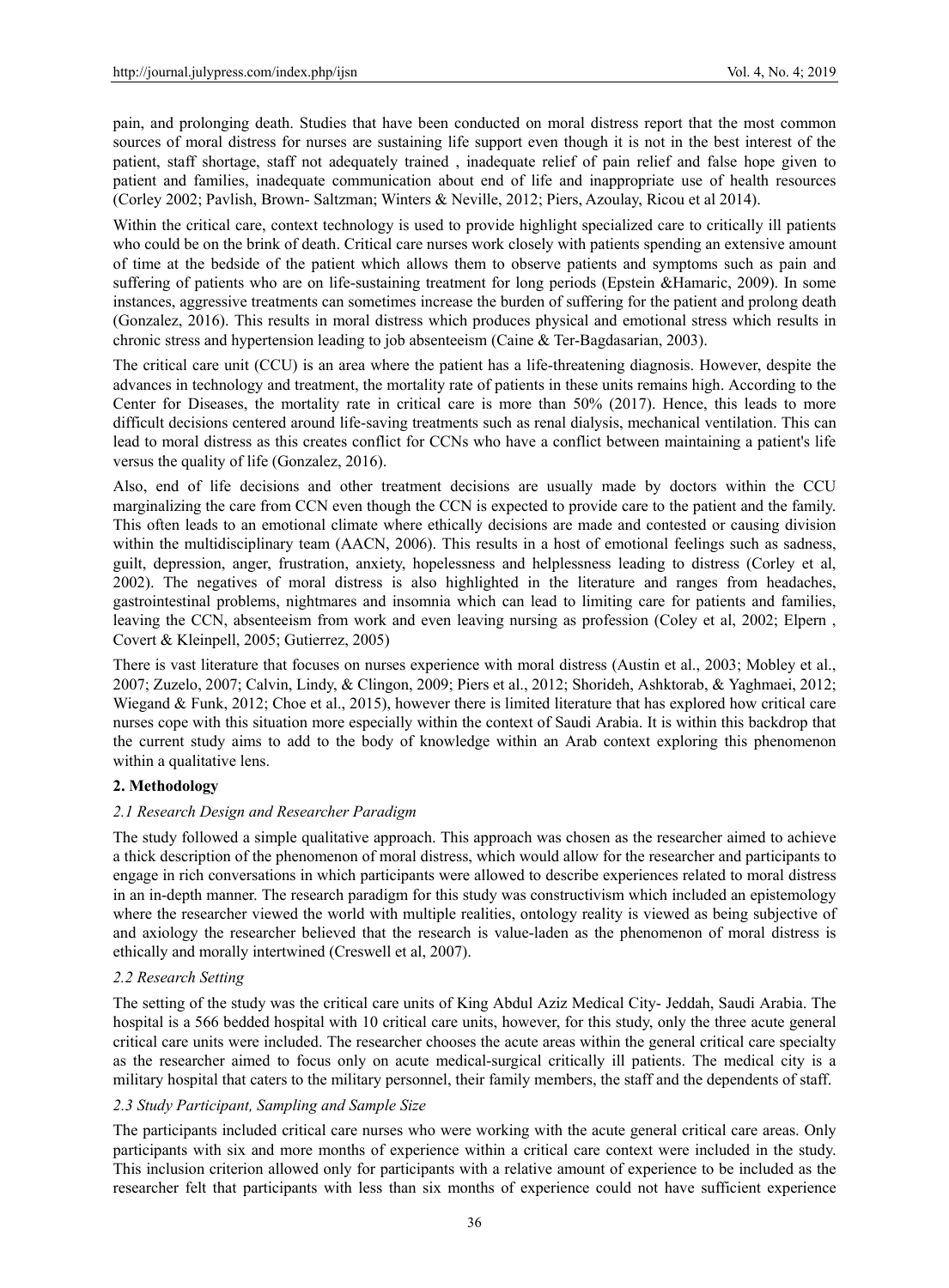pain, and prolonging death. Studies that have been conducted on moral distress report that the most common sources of moral distress for nurses are sustaining life support even though it is not in the best interest of the patient, staff shortage, staff not adequately trained , inadequate relief of pain relief and false hope given to patient and families, inadequate communication about end of life and inappropriate use of health resources (Corley 2002; Pavlish, Brown- Saltzman; Winters & Neville, 2012; Piers, Azoulay, Ricou et al 2014).

Within the critical care, context technology is used to provide highlight specialized care to critically ill patients who could be on the brink of death. Critical care nurses work closely with patients spending an extensive amount of time at the bedside of the patient which allows them to observe patients and symptoms such as pain and suffering of patients who are on life-sustaining treatment for long periods (Epstein &Hamaric, 2009). In some instances, aggressive treatments can sometimes increase the burden of suffering for the patient and prolong death (Gonzalez, 2016). This results in moral distress which produces physical and emotional stress which results in chronic stress and hypertension leading to job absenteeism (Caine & Ter-Bagdasarian, 2003).

The critical care unit (CCU) is an area where the patient has a life-threatening diagnosis. However, despite the advances in technology and treatment, the mortality rate of patients in these units remains high. According to the Center for Diseases, the mortality rate in critical care is more than 50% (2017). Hence, this leads to more difficult decisions centered around life-saving treatments such as renal dialysis, mechanical ventilation. This can lead to moral distress as this creates conflict for CCNs who have a conflict between maintaining a patient's life versus the quality of life (Gonzalez, 2016).

Also, end of life decisions and other treatment decisions are usually made by doctors within the CCU marginalizing the care from CCN even though the CCN is expected to provide care to the patient and the family. This often leads to an emotional climate where ethically decisions are made and contested or causing division within the multidisciplinary team (AACN, 2006). This results in a host of emotional feelings such as sadness, guilt, depression, anger, frustration, anxiety, hopelessness and helplessness leading to distress (Corley et al, 2002). The negatives of moral distress is also highlighted in the literature and ranges from headaches, gastrointestinal problems, nightmares and insomnia which can lead to limiting care for patients and families, leaving the CCN, absenteeism from work and even leaving nursing as profession (Coley et al, 2002; Elpern , Covert & Kleinpell, 2005; Gutierrez, 2005)

There is vast literature that focuses on nurses experience with moral distress (Austin et al., 2003; Mobley et al., 2007; Zuzelo, 2007; Calvin, Lindy, & Clingon, 2009; Piers et al., 2012; Shorideh, Ashktorab, & Yaghmaei, 2012; Wiegand & Funk, 2012; Choe et al., 2015), however there is limited literature that has explored how critical care nurses cope with this situation more especially within the context of Saudi Arabia. It is within this backdrop that the current study aims to add to the body of knowledge within an Arab context exploring this phenomenon within a qualitative lens.

# **2. Methodology**

## *2.1 Research Design and Researcher Paradigm*

The study followed a simple qualitative approach. This approach was chosen as the researcher aimed to achieve a thick description of the phenomenon of moral distress, which would allow for the researcher and participants to engage in rich conversations in which participants were allowed to describe experiences related to moral distress in an in-depth manner. The research paradigm for this study was constructivism which included an epistemology where the researcher viewed the world with multiple realities, ontology reality is viewed as being subjective of and axiology the researcher believed that the research is value-laden as the phenomenon of moral distress is ethically and morally intertwined (Creswell et al, 2007).

## *2.2 Research Setting*

The setting of the study was the critical care units of King Abdul Aziz Medical City- Jeddah, Saudi Arabia. The hospital is a 566 bedded hospital with 10 critical care units, however, for this study, only the three acute general critical care units were included. The researcher chooses the acute areas within the general critical care specialty as the researcher aimed to focus only on acute medical-surgical critically ill patients. The medical city is a military hospital that caters to the military personnel, their family members, the staff and the dependents of staff.

## *2.3 Study Participant, Sampling and Sample Size*

The participants included critical care nurses who were working with the acute general critical care areas. Only participants with six and more months of experience within a critical care context were included in the study. This inclusion criterion allowed only for participants with a relative amount of experience to be included as the researcher felt that participants with less than six months of experience could not have sufficient experience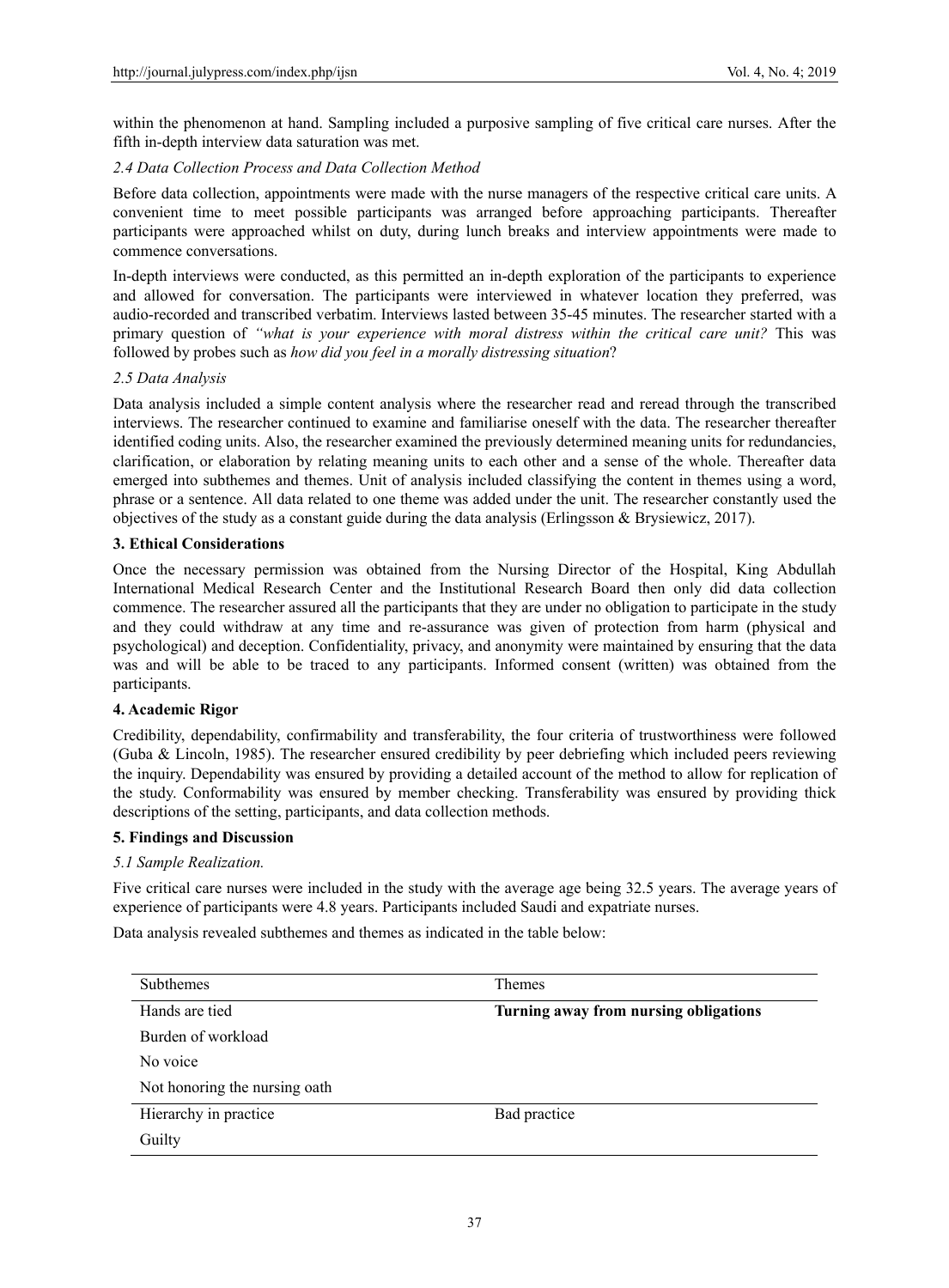within the phenomenon at hand. Sampling included a purposive sampling of five critical care nurses. After the fifth in-depth interview data saturation was met.

## *2.4 Data Collection Process and Data Collection Method*

Before data collection, appointments were made with the nurse managers of the respective critical care units. A convenient time to meet possible participants was arranged before approaching participants. Thereafter participants were approached whilst on duty, during lunch breaks and interview appointments were made to commence conversations.

In-depth interviews were conducted, as this permitted an in-depth exploration of the participants to experience and allowed for conversation. The participants were interviewed in whatever location they preferred, was audio-recorded and transcribed verbatim. Interviews lasted between 35-45 minutes. The researcher started with a primary question of *"what is your experience with moral distress within the critical care unit?* This was followed by probes such as *how did you feel in a morally distressing situation*?

# *2.5 Data Analysis*

Data analysis included a simple content analysis where the researcher read and reread through the transcribed interviews. The researcher continued to examine and familiarise oneself with the data. The researcher thereafter identified coding units. Also, the researcher examined the previously determined meaning units for redundancies, clarification, or elaboration by relating meaning units to each other and a sense of the whole. Thereafter data emerged into subthemes and themes. Unit of analysis included classifying the content in themes using a word, phrase or a sentence. All data related to one theme was added under the unit. The researcher constantly used the objectives of the study as a constant guide during the data analysis (Erlingsson & Brysiewicz, 2017).

# **3. Ethical Considerations**

Once the necessary permission was obtained from the Nursing Director of the Hospital, King Abdullah International Medical Research Center and the Institutional Research Board then only did data collection commence. The researcher assured all the participants that they are under no obligation to participate in the study and they could withdraw at any time and re-assurance was given of protection from harm (physical and psychological) and deception. Confidentiality, privacy, and anonymity were maintained by ensuring that the data was and will be able to be traced to any participants. Informed consent (written) was obtained from the participants.

## **4. Academic Rigor**

Credibility, dependability, confirmability and transferability, the four criteria of trustworthiness were followed (Guba & Lincoln, 1985). The researcher ensured credibility by peer debriefing which included peers reviewing the inquiry. Dependability was ensured by providing a detailed account of the method to allow for replication of the study. Conformability was ensured by member checking. Transferability was ensured by providing thick descriptions of the setting, participants, and data collection methods.

## **5. Findings and Discussion**

## *5.1 Sample Realization.*

Five critical care nurses were included in the study with the average age being 32.5 years. The average years of experience of participants were 4.8 years. Participants included Saudi and expatriate nurses.

Data analysis revealed subthemes and themes as indicated in the table below:

| <b>Subthemes</b>              | <b>Themes</b>                         |
|-------------------------------|---------------------------------------|
| Hands are tied                | Turning away from nursing obligations |
| Burden of workload            |                                       |
| No voice                      |                                       |
| Not honoring the nursing oath |                                       |
| Hierarchy in practice         | Bad practice                          |
| Guilty                        |                                       |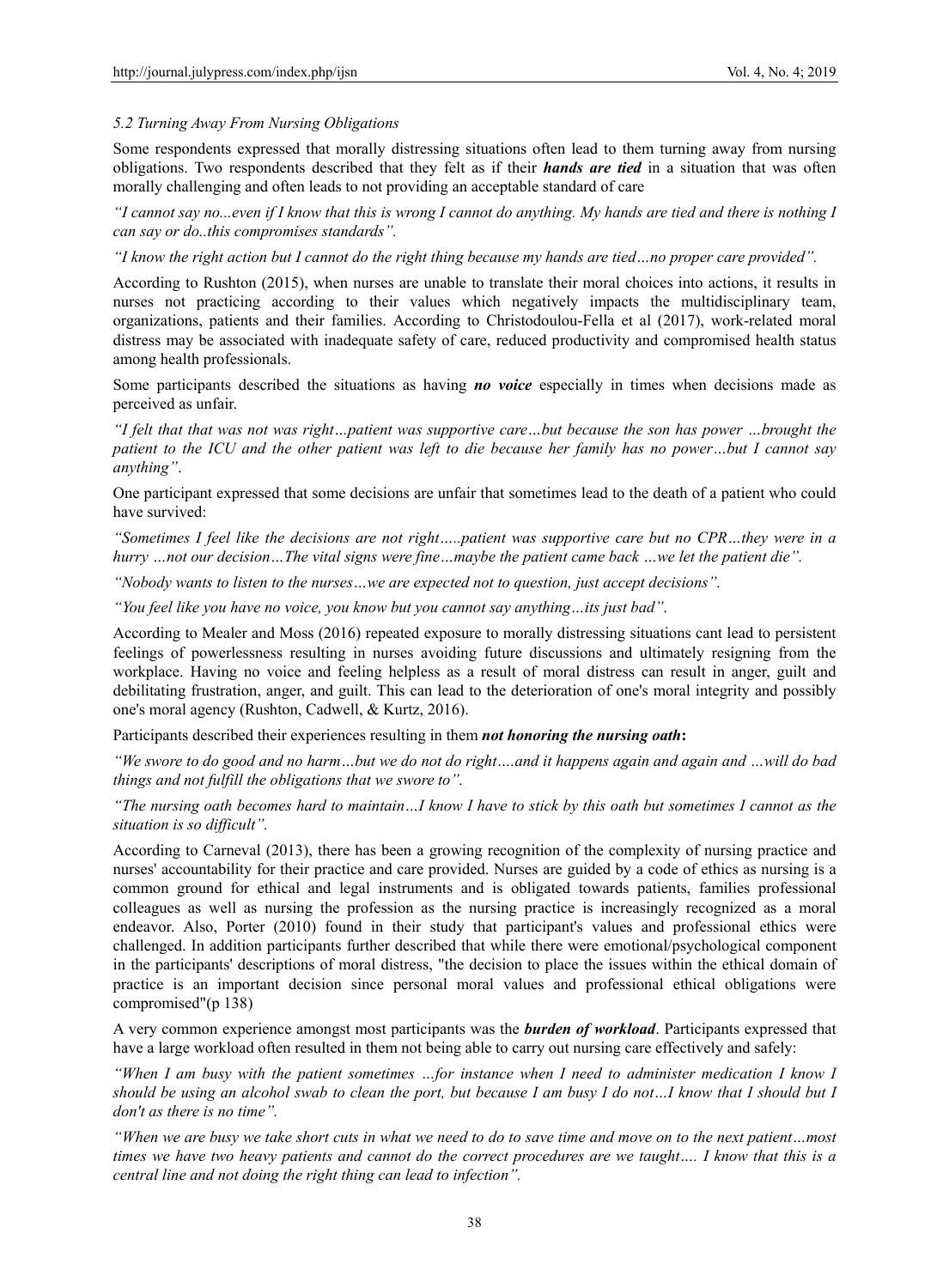## *5.2 Turning Away From Nursing Obligations*

Some respondents expressed that morally distressing situations often lead to them turning away from nursing obligations. Two respondents described that they felt as if their *hands are tied* in a situation that was often morally challenging and often leads to not providing an acceptable standard of care

*"I cannot say no...even if I know that this is wrong I cannot do anything. My hands are tied and there is nothing I can say or do..this compromises standards".* 

*"I know the right action but I cannot do the right thing because my hands are tied…no proper care provided".* 

According to Rushton (2015), when nurses are unable to translate their moral choices into actions, it results in nurses not practicing according to their values which negatively impacts the multidisciplinary team, organizations, patients and their families. According to Christodoulou-Fella et al (2017), work-related moral distress may be associated with inadequate safety of care, reduced productivity and compromised health status among health professionals.

Some participants described the situations as having *no voice* especially in times when decisions made as perceived as unfair.

*"I felt that that was not was right…patient was supportive care…but because the son has power …brought the patient to the ICU and the other patient was left to die because her family has no power…but I cannot say anything"*.

One participant expressed that some decisions are unfair that sometimes lead to the death of a patient who could have survived:

*"Sometimes I feel like the decisions are not right…..patient was supportive care but no CPR…they were in a hurry …not our decision…The vital signs were fine…maybe the patient came back …we let the patient die".* 

*"Nobody wants to listen to the nurses…we are expected not to question, just accept decisions".* 

*"You feel like you have no voice, you know but you cannot say anything…its just bad"*.

According to Mealer and Moss (2016) repeated exposure to morally distressing situations cant lead to persistent feelings of powerlessness resulting in nurses avoiding future discussions and ultimately resigning from the workplace. Having no voice and feeling helpless as a result of moral distress can result in anger, guilt and debilitating frustration, anger, and guilt. This can lead to the deterioration of one's moral integrity and possibly one's moral agency (Rushton, Cadwell, & Kurtz, 2016).

Participants described their experiences resulting in them *not honoring the nursing oath***:** 

*"We swore to do good and no harm…but we do not do right….and it happens again and again and …will do bad things and not fulfill the obligations that we swore to".* 

*"The nursing oath becomes hard to maintain…I know I have to stick by this oath but sometimes I cannot as the situation is so difficult".* 

According to Carneval (2013), there has been a growing recognition of the complexity of nursing practice and nurses' accountability for their practice and care provided. Nurses are guided by a code of ethics as nursing is a common ground for ethical and legal instruments and is obligated towards patients, families professional colleagues as well as nursing the profession as the nursing practice is increasingly recognized as a moral endeavor. Also, Porter (2010) found in their study that participant's values and professional ethics were challenged. In addition participants further described that while there were emotional/psychological component in the participants' descriptions of moral distress, "the decision to place the issues within the ethical domain of practice is an important decision since personal moral values and professional ethical obligations were compromised"(p 138)

A very common experience amongst most participants was the *burden of workload*. Participants expressed that have a large workload often resulted in them not being able to carry out nursing care effectively and safely:

*"When I am busy with the patient sometimes …for instance when I need to administer medication I know I should be using an alcohol swab to clean the port, but because I am busy I do not…I know that I should but I don't as there is no time".* 

*"When we are busy we take short cuts in what we need to do to save time and move on to the next patient…most times we have two heavy patients and cannot do the correct procedures are we taught…. I know that this is a central line and not doing the right thing can lead to infection".*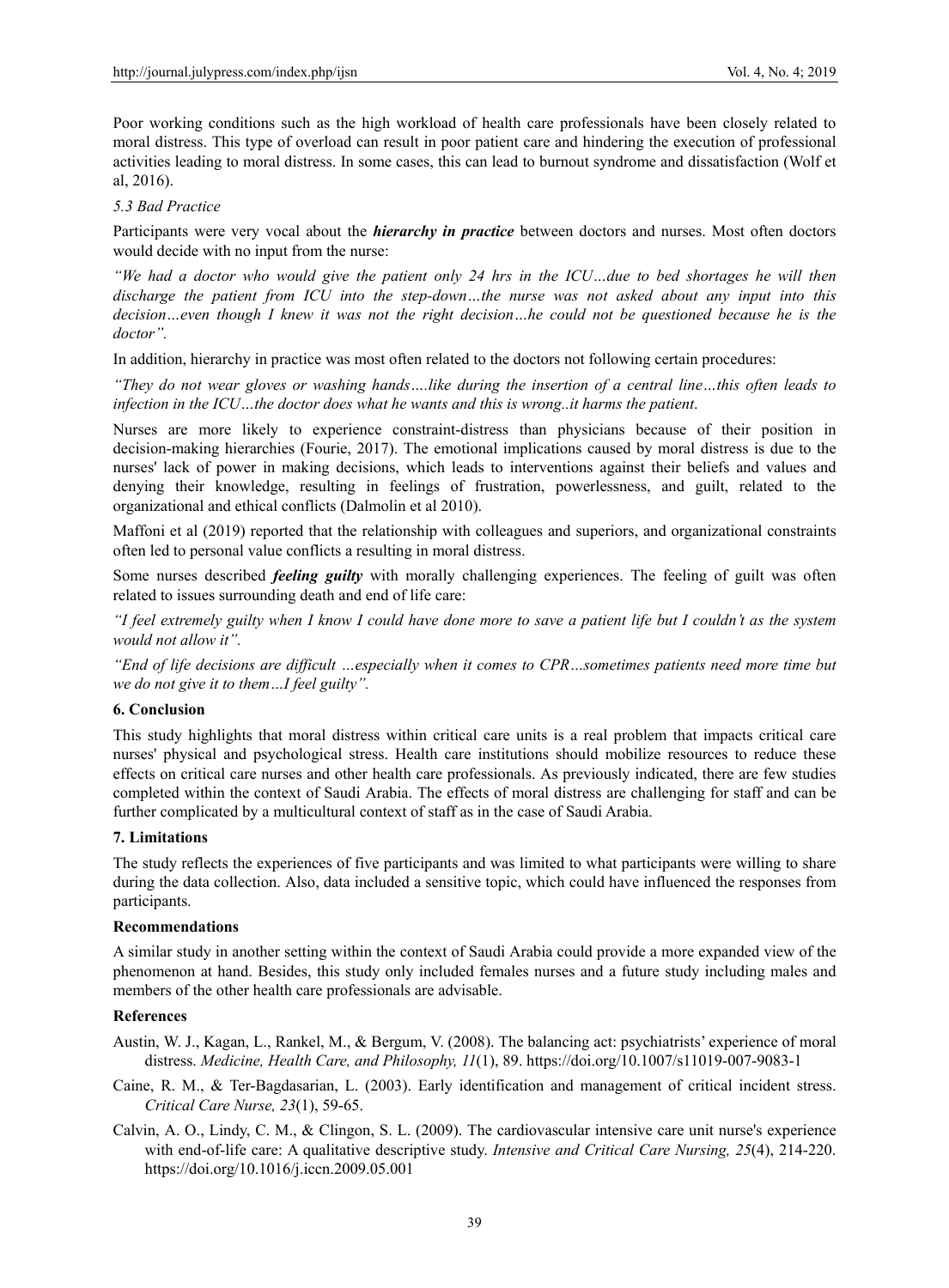Poor working conditions such as the high workload of health care professionals have been closely related to moral distress. This type of overload can result in poor patient care and hindering the execution of professional activities leading to moral distress. In some cases, this can lead to burnout syndrome and dissatisfaction (Wolf et al, 2016).

## *5.3 Bad Practice*

Participants were very vocal about the *hierarchy in practice* between doctors and nurses. Most often doctors would decide with no input from the nurse:

*"We had a doctor who would give the patient only 24 hrs in the ICU…due to bed shortages he will then discharge the patient from ICU into the step-down…the nurse was not asked about any input into this decision…even though I knew it was not the right decision…he could not be questioned because he is the doctor".* 

In addition, hierarchy in practice was most often related to the doctors not following certain procedures:

*"They do not wear gloves or washing hands….like during the insertion of a central line…this often leads to infection in the ICU…the doctor does what he wants and this is wrong..it harms the patient*.

Nurses are more likely to experience constraint-distress than physicians because of their position in decision-making hierarchies (Fourie, 2017). The emotional implications caused by moral distress is due to the nurses' lack of power in making decisions, which leads to interventions against their beliefs and values and denying their knowledge, resulting in feelings of frustration, powerlessness, and guilt, related to the organizational and ethical conflicts (Dalmolin et al 2010).

Maffoni et al (2019) reported that the relationship with colleagues and superiors, and organizational constraints often led to personal value conflicts a resulting in moral distress.

Some nurses described *feeling guilty* with morally challenging experiences. The feeling of guilt was often related to issues surrounding death and end of life care:

*"I feel extremely guilty when I know I could have done more to save a patient life but I couldn't as the system would not allow it".* 

*"End of life decisions are difficult …especially when it comes to CPR…sometimes patients need more time but we do not give it to them…I feel guilty".* 

## **6. Conclusion**

This study highlights that moral distress within critical care units is a real problem that impacts critical care nurses' physical and psychological stress. Health care institutions should mobilize resources to reduce these effects on critical care nurses and other health care professionals. As previously indicated, there are few studies completed within the context of Saudi Arabia. The effects of moral distress are challenging for staff and can be further complicated by a multicultural context of staff as in the case of Saudi Arabia.

## **7. Limitations**

The study reflects the experiences of five participants and was limited to what participants were willing to share during the data collection. Also, data included a sensitive topic, which could have influenced the responses from participants.

## **Recommendations**

A similar study in another setting within the context of Saudi Arabia could provide a more expanded view of the phenomenon at hand. Besides, this study only included females nurses and a future study including males and members of the other health care professionals are advisable.

## **References**

- Austin, W. J., Kagan, L., Rankel, M., & Bergum, V. (2008). The balancing act: psychiatrists' experience of moral distress. *Medicine, Health Care, and Philosophy, 11*(1), 89. https://doi.org/10.1007/s11019-007-9083-1
- Caine, R. M., & Ter-Bagdasarian, L. (2003). Early identification and management of critical incident stress. *Critical Care Nurse, 23*(1), 59-65.
- Calvin, A. O., Lindy, C. M., & Clingon, S. L. (2009). The cardiovascular intensive care unit nurse's experience with end-of-life care: A qualitative descriptive study. *Intensive and Critical Care Nursing, 25*(4), 214-220. https://doi.org/10.1016/j.iccn.2009.05.001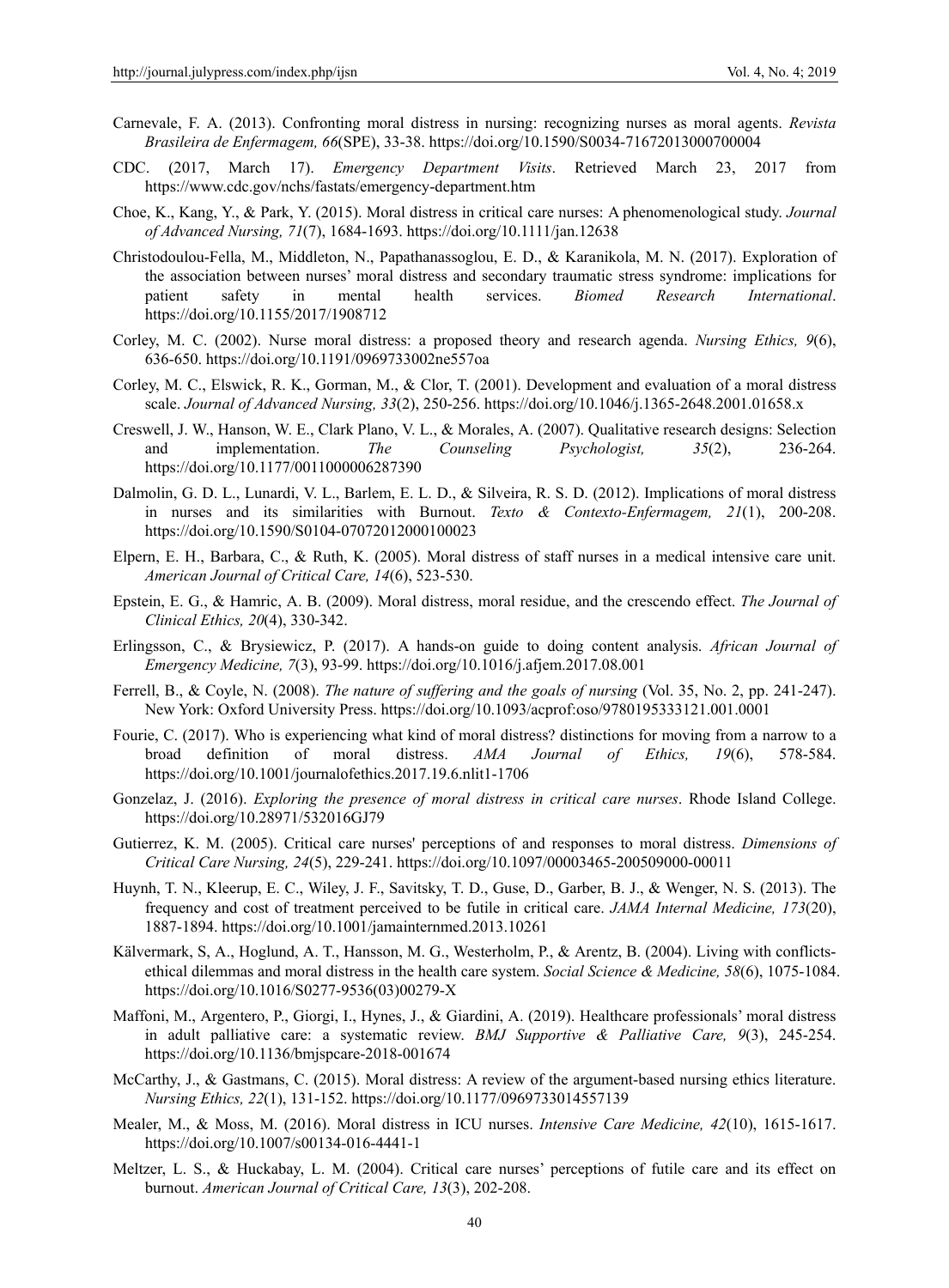- Carnevale, F. A. (2013). Confronting moral distress in nursing: recognizing nurses as moral agents. *Revista Brasileira de Enfermagem, 66*(SPE), 33-38. https://doi.org/10.1590/S0034-71672013000700004
- CDC. (2017, March 17). *Emergency Department Visits*. Retrieved March 23, 2017 from https://www.cdc.gov/nchs/fastats/emergency-department.htm
- Choe, K., Kang, Y., & Park, Y. (2015). Moral distress in critical care nurses: A phenomenological study. *Journal of Advanced Nursing, 71*(7), 1684-1693. https://doi.org/10.1111/jan.12638
- Christodoulou-Fella, M., Middleton, N., Papathanassoglou, E. D., & Karanikola, M. N. (2017). Exploration of the association between nurses' moral distress and secondary traumatic stress syndrome: implications for patient safety in mental health services. *Biomed Research International*. https://doi.org/10.1155/2017/1908712
- Corley, M. C. (2002). Nurse moral distress: a proposed theory and research agenda. *Nursing Ethics, 9*(6), 636-650. https://doi.org/10.1191/0969733002ne557oa
- Corley, M. C., Elswick, R. K., Gorman, M., & Clor, T. (2001). Development and evaluation of a moral distress scale. *Journal of Advanced Nursing, 33*(2), 250-256. https://doi.org/10.1046/j.1365-2648.2001.01658.x
- Creswell, J. W., Hanson, W. E., Clark Plano, V. L., & Morales, A. (2007). Qualitative research designs: Selection and implementation. *The Counseling Psychologist, 35*(2), 236-264. https://doi.org/10.1177/0011000006287390
- Dalmolin, G. D. L., Lunardi, V. L., Barlem, E. L. D., & Silveira, R. S. D. (2012). Implications of moral distress in nurses and its similarities with Burnout. *Texto & Contexto-Enfermagem, 21*(1), 200-208. https://doi.org/10.1590/S0104-07072012000100023
- Elpern, E. H., Barbara, C., & Ruth, K. (2005). Moral distress of staff nurses in a medical intensive care unit. *American Journal of Critical Care, 14*(6), 523-530.
- Epstein, E. G., & Hamric, A. B. (2009). Moral distress, moral residue, and the crescendo effect. *The Journal of Clinical Ethics, 20*(4), 330-342.
- Erlingsson, C., & Brysiewicz, P. (2017). A hands-on guide to doing content analysis. *African Journal of Emergency Medicine, 7*(3), 93-99. https://doi.org/10.1016/j.afjem.2017.08.001
- Ferrell, B., & Coyle, N. (2008). *The nature of suffering and the goals of nursing* (Vol. 35, No. 2, pp. 241-247). New York: Oxford University Press. https://doi.org/10.1093/acprof:oso/9780195333121.001.0001
- Fourie, C. (2017). Who is experiencing what kind of moral distress? distinctions for moving from a narrow to a broad definition of moral distress. *AMA Journal of Ethics, 19*(6), 578-584. https://doi.org/10.1001/journalofethics.2017.19.6.nlit1-1706
- Gonzelaz, J. (2016). *Exploring the presence of moral distress in critical care nurses*. Rhode Island College. https://doi.org/10.28971/532016GJ79
- Gutierrez, K. M. (2005). Critical care nurses' perceptions of and responses to moral distress. *Dimensions of Critical Care Nursing, 24*(5), 229-241. https://doi.org/10.1097/00003465-200509000-00011
- Huynh, T. N., Kleerup, E. C., Wiley, J. F., Savitsky, T. D., Guse, D., Garber, B. J., & Wenger, N. S. (2013). The frequency and cost of treatment perceived to be futile in critical care. *JAMA Internal Medicine, 173*(20), 1887-1894. https://doi.org/10.1001/jamainternmed.2013.10261
- Kälvermark, S, A., Hoglund, A. T., Hansson, M. G., Westerholm, P., & Arentz, B. (2004). Living with conflictsethical dilemmas and moral distress in the health care system. *Social Science & Medicine, 58*(6), 1075-1084. https://doi.org/10.1016/S0277-9536(03)00279-X
- Maffoni, M., Argentero, P., Giorgi, I., Hynes, J., & Giardini, A. (2019). Healthcare professionals' moral distress in adult palliative care: a systematic review. *BMJ Supportive & Palliative Care, 9*(3), 245-254. https://doi.org/10.1136/bmjspcare-2018-001674
- McCarthy, J., & Gastmans, C. (2015). Moral distress: A review of the argument-based nursing ethics literature. *Nursing Ethics, 22*(1), 131-152. https://doi.org/10.1177/0969733014557139
- Mealer, M., & Moss, M. (2016). Moral distress in ICU nurses. *Intensive Care Medicine, 42*(10), 1615-1617. https://doi.org/10.1007/s00134-016-4441-1
- Meltzer, L. S., & Huckabay, L. M. (2004). Critical care nurses' perceptions of futile care and its effect on burnout. *American Journal of Critical Care, 13*(3), 202-208.